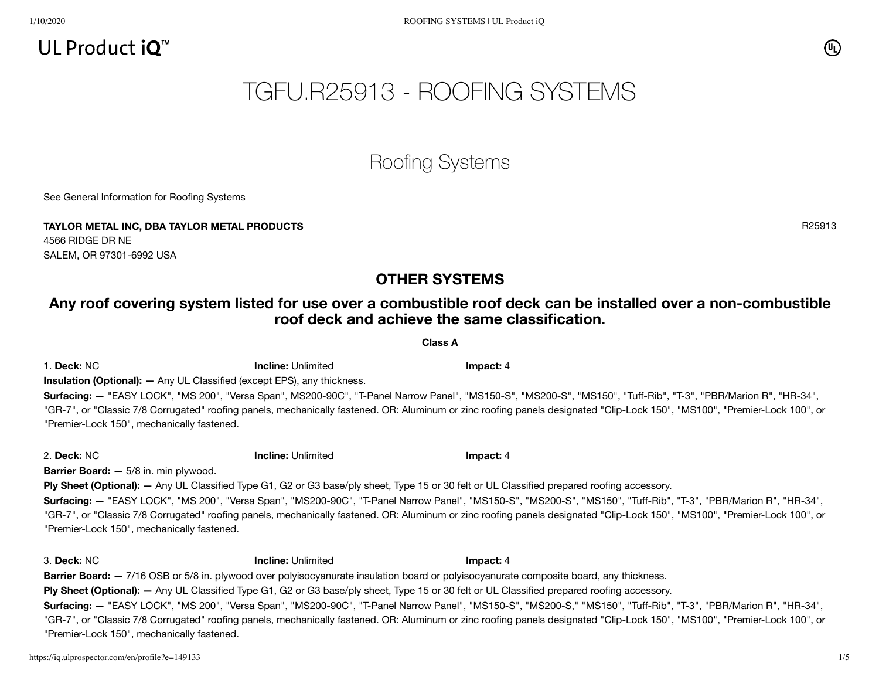# UL Product  $iO^m$

# TGFU.R25913 - ROOFING SYSTEMS

# Roofing Systems

See General [Information](https://iq.ulprospector.com/cgi-bin/XYV/template/LISEXT/1FRAME/showpage.html?&name=TGFU.GuideInfo&ccnshorttitle=Roofing+Systems&objid=1074351572&cfgid=1073741824&version=versionless&parent_id=1073993597&sequence=1) for Roofing Systems

**TAYLOR METAL INC, DBA TAYLOR METAL PRODUCTS** R25913 4566 RIDGE DR NE SALEM, OR 97301-6992 USA

## **OTHER SYSTEMS**

## Any roof covering system listed for use over a combustible roof deck can be installed over a non-combustible **roof deck and achieve the same classification.**

**Class A**

1. **Deck:** NC **Incline:** Unlimited **Impact:** 4 **Insulation (Optional): —** Any UL Classified (except EPS), any thickness.

**Surfacing: —** "EASY LOCK", "MS 200", "Versa Span", MS200-90C", "T-Panel Narrow Panel", "MS150-S", "MS200-S", "MS150", "Tuff-Rib", "T-3", "PBR/Marion R", "HR-34", "GR-7", or "Classic 7/8 Corrugated" roofing panels, mechanically fastened. OR: Aluminum or zinc roofing panels designated "Clip-Lock 150", "MS100", "Premier-Lock 100", or "Premier-Lock 150", mechanically fastened.

2. **Deck:** NC **Incline:** Unlimited **Impact:** 4

**Barrier Board: —** 5/8 in. min plywood.

**Ply Sheet (Optional): —** Any UL Classified Type G1, G2 or G3 base/ply sheet, Type 15 or 30 felt or UL Classified prepared roofing accessory. **Surfacing: —** "EASY LOCK", "MS 200", "Versa Span", "MS200-90C", "T-Panel Narrow Panel", "MS150-S", "MS200-S", "MS150", "Tuff-Rib", "T-3", "PBR/Marion R", "HR-34", "GR-7", or "Classic 7/8 Corrugated" roofing panels, mechanically fastened. OR: Aluminum or zinc roofing panels designated "Clip-Lock 150", "MS100", "Premier-Lock 100", or "Premier-Lock 150", mechanically fastened.

3. **Deck:** NC **Incline:** Unlimited **Impact:** 4 **Barrier Board:**  $-7/16$  OSB or 5/8 in. plywood over polyisocyanurate insulation board or polyisocyanurate composite board, any thickness. **Ply Sheet (Optional): —** Any UL Classified Type G1, G2 or G3 base/ply sheet, Type 15 or 30 felt or UL Classified prepared roofing accessory. **Surfacing: —** "EASY LOCK", "MS 200", "Versa Span", "MS200-90C", "T-Panel Narrow Panel", "MS150-S", "MS200-S," "MS150", "Tuff-Rib", "T-3", "PBR/Marion R", "HR-34", "GR-7", or "Classic 7/8 Corrugated" roofing panels, mechanically fastened. OR: Aluminum or zinc roofing panels designated "Clip-Lock 150", "MS100", "Premier-Lock 100", or "Premier-Lock 150", mechanically fastened.

(U<sub>L</sub>)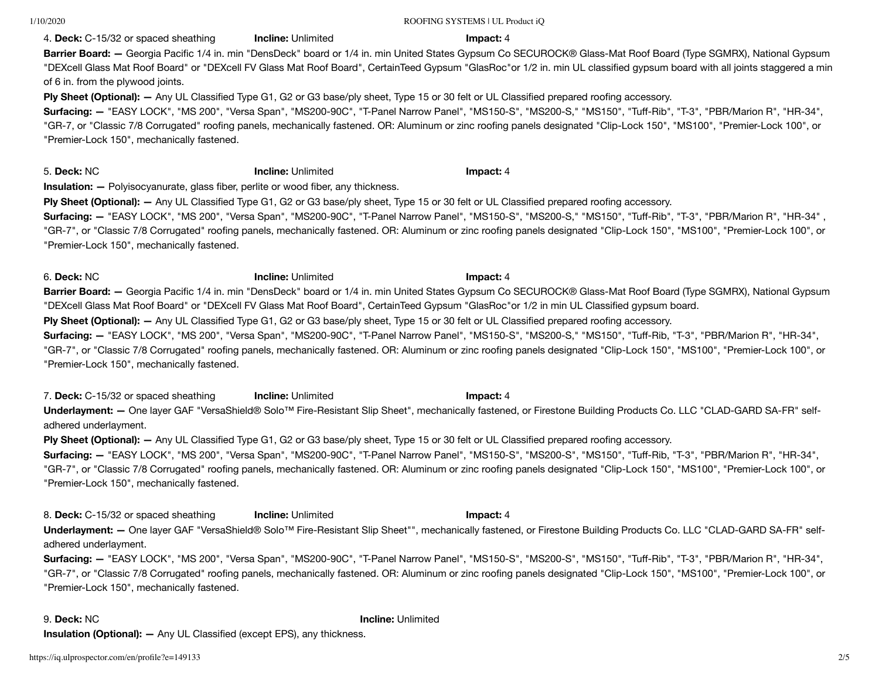1/10/2020 ROOFING SYSTEMS | UL Product iQ

## 4. **Deck:** C-15/32 or spaced sheathing **Incline:** Unlimited **Impact:** 4

**Barrier Board: —** Georgia Pacific 1/4 in. min "DensDeck" board or 1/4 in. min United States Gypsum Co SECUROCK® Glass-Mat Roof Board (Type SGMRX), National Gypsum "DEXcell Glass Mat Roof Board" or "DEXcell FV Glass Mat Roof Board", CertainTeed Gypsum "GlasRoc"or 1/2 in. min UL classified gypsum board with all joints staggered a min of 6 in. from the plywood joints.

**Ply Sheet (Optional): —** Any UL Classified Type G1, G2 or G3 base/ply sheet, Type 15 or 30 felt or UL Classified prepared roofing accessory.

**Surfacing: —** "EASY LOCK", "MS 200", "Versa Span", "MS200-90C", "T-Panel Narrow Panel", "MS150-S", "MS200-S," "MS150", "Tuff-Rib", "T-3", "PBR/Marion R", "HR-34", "GR-7, or "Classic 7/8 Corrugated" roofing panels, mechanically fastened. OR: Aluminum or zinc roofing panels designated "Clip-Lock 150", "MS100", "Premier-Lock 100", or "Premier-Lock 150", mechanically fastened.

5. **Deck:** NC **Incline:** Unlimited **Impact:** 4

**Insulation: —** Polyisocyanurate, glass fiber, perlite or wood fiber, any thickness.

**Ply Sheet (Optional): —** Any UL Classified Type G1, G2 or G3 base/ply sheet, Type 15 or 30 felt or UL Classified prepared roofing accessory.

**Surfacing: —** "EASY LOCK", "MS 200", "Versa Span", "MS200-90C", "T-Panel Narrow Panel", "MS150-S", "MS200-S," "MS150", "Tuff-Rib", "T-3", "PBR/Marion R", "HR-34" , "GR-7", or "Classic 7/8 Corrugated" roofing panels, mechanically fastened. OR: Aluminum or zinc roofing panels designated "Clip-Lock 150", "MS100", "Premier-Lock 100", or "Premier-Lock 150", mechanically fastened.

6. **Deck:** NC **Incline:** Unlimited **Impact:** 4 **Barrier Board: —** Georgia Pacific 1/4 in. min "DensDeck" board or 1/4 in. min United States Gypsum Co SECUROCK® Glass-Mat Roof Board (Type SGMRX), National Gypsum "DEXcell Glass Mat Roof Board" or "DEXcell FV Glass Mat Roof Board", CertainTeed Gypsum "GlasRoc"or 1/2 in min UL Classified gypsum board.

**Ply Sheet (Optional): —** Any UL Classified Type G1, G2 or G3 base/ply sheet, Type 15 or 30 felt or UL Classified prepared roofing accessory.

**Surfacing: —** "EASY LOCK", "MS 200", "Versa Span", "MS200-90C", "T-Panel Narrow Panel", "MS150-S", "MS200-S," "MS150", "Tuff-Rib, "T-3", "PBR/Marion R", "HR-34", "GR-7", or "Classic 7/8 Corrugated" roofing panels, mechanically fastened. OR: Aluminum or zinc roofing panels designated "Clip-Lock 150", "MS100", "Premier-Lock 100", or "Premier-Lock 150", mechanically fastened.

7. **Deck:** C-15/32 or spaced sheathing **Incline:** Unlimited **Impact:** 4 **Underlayment: —** One layer GAF "VersaShield® Solo™ Fire-Resistant Slip Sheet", mechanically fastened, or Firestone Building Products Co. LLC "CLAD-GARD SA-FR" selfadhered underlayment.

**Ply Sheet (Optional): —** Any UL Classified Type G1, G2 or G3 base/ply sheet, Type 15 or 30 felt or UL Classified prepared roofing accessory.

**Surfacing: —** "EASY LOCK", "MS 200", "Versa Span", "MS200-90C", "T-Panel Narrow Panel", "MS150-S", "MS200-S", "MS150", "Tuff-Rib, "T-3", "PBR/Marion R", "HR-34", "GR-7", or "Classic 7/8 Corrugated" roofing panels, mechanically fastened. OR: Aluminum or zinc roofing panels designated "Clip-Lock 150", "MS100", "Premier-Lock 100", or "Premier-Lock 150", mechanically fastened.

8. **Deck:** C-15/32 or spaced sheathing **Incline:** Unlimited **Impact:** 4 **Underlayment: —** One layer GAF "VersaShield® Solo™ Fire-Resistant Slip Sheet"", mechanically fastened, or Firestone Building Products Co. LLC "CLAD-GARD SA-FR" selfadhered underlayment.

**Surfacing: —** "EASY LOCK", "MS 200", "Versa Span", "MS200-90C", "T-Panel Narrow Panel", "MS150-S", "MS200-S", "MS150", "Tuff-Rib", "T-3", "PBR/Marion R", "HR-34", "GR-7", or "Classic 7/8 Corrugated" roofing panels, mechanically fastened. OR: Aluminum or zinc roofing panels designated "Clip-Lock 150", "MS100", "Premier-Lock 100", or "Premier-Lock 150", mechanically fastened.

9. **Deck:** NC **Incline:** Unlimited **Insulation (Optional): —** Any UL Classified (except EPS), any thickness.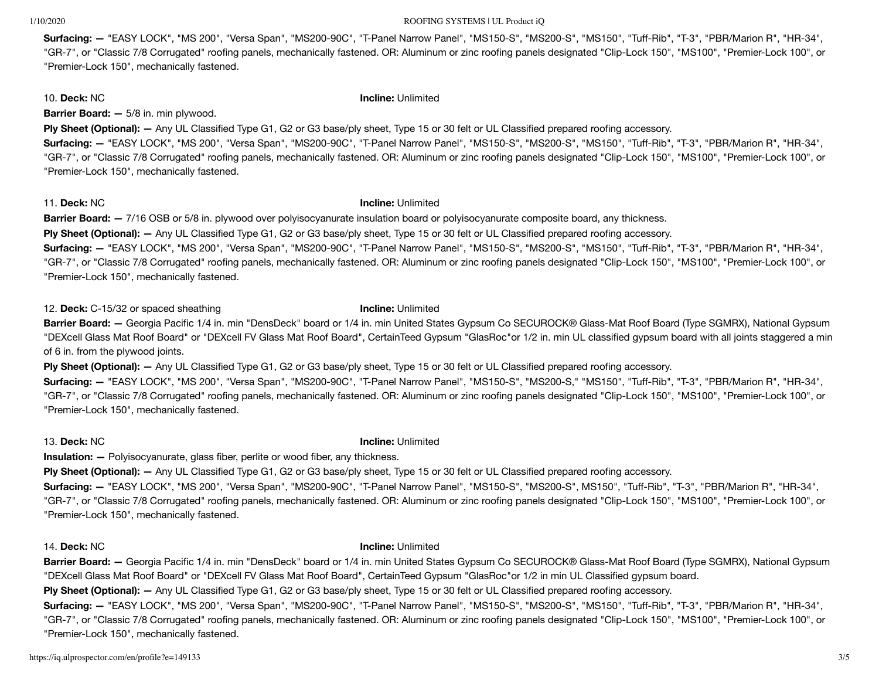### 1/10/2020 ROOFING SYSTEMS | UL Product iQ

**Surfacing: —** "EASY LOCK", "MS 200", "Versa Span", "MS200-90C", "T-Panel Narrow Panel", "MS150-S", "MS200-S", "MS150", "Tuff-Rib", "T-3", "PBR/Marion R", "HR-34", "GR-7", or "Classic 7/8 Corrugated" roofing panels, mechanically fastened. OR: Aluminum or zinc roofing panels designated "Clip-Lock 150", "MS100", "Premier-Lock 100", or "Premier-Lock 150", mechanically fastened.

10. **Deck:** NC **Incline:** Unlimited

**Barrier Board: —** 5/8 in. min plywood.

**Ply Sheet (Optional): —** Any UL Classified Type G1, G2 or G3 base/ply sheet, Type 15 or 30 felt or UL Classified prepared roofing accessory.

**Surfacing: —** "EASY LOCK", "MS 200", "Versa Span", "MS200-90C", "T-Panel Narrow Panel", "MS150-S", "MS200-S", "MS150", "Tuff-Rib", "T-3", "PBR/Marion R", "HR-34", "GR-7", or "Classic 7/8 Corrugated" roofing panels, mechanically fastened. OR: Aluminum or zinc roofing panels designated "Clip-Lock 150", "MS100", "Premier-Lock 100", or "Premier-Lock 150", mechanically fastened.

## 11. **Deck:** NC **Incline:** Unlimited

**Barrier Board: —** 7/16 OSB or 5/8 in. plywood over polyisocyanurate insulation board or polyisocyanurate composite board, any thickness.

**Ply Sheet (Optional): —** Any UL Classified Type G1, G2 or G3 base/ply sheet, Type 15 or 30 felt or UL Classified prepared roofing accessory.

**Surfacing: —** "EASY LOCK", "MS 200", "Versa Span", "MS200-90C", "T-Panel Narrow Panel", "MS150-S", "MS200-S", "MS150", "Tuff-Rib", "T-3", "PBR/Marion R", "HR-34", "GR-7", or "Classic 7/8 Corrugated" roofing panels, mechanically fastened. OR: Aluminum or zinc roofing panels designated "Clip-Lock 150", "MS100", "Premier-Lock 100", or "Premier-Lock 150", mechanically fastened.

12. **Deck:** C-15/32 or spaced sheathing **Incline:** Unlimited

**Barrier Board: —** Georgia Pacific 1/4 in. min "DensDeck" board or 1/4 in. min United States Gypsum Co SECUROCK® Glass-Mat Roof Board (Type SGMRX), National Gypsum "DEXcell Glass Mat Roof Board" or "DEXcell FV Glass Mat Roof Board", CertainTeed Gypsum "GlasRoc"or 1/2 in. min UL classified gypsum board with all joints staggered a min of 6 in. from the plywood joints.

**Ply Sheet (Optional): —** Any UL Classified Type G1, G2 or G3 base/ply sheet, Type 15 or 30 felt or UL Classified prepared roofing accessory.

**Surfacing: —** "EASY LOCK", "MS 200", "Versa Span", "MS200-90C", "T-Panel Narrow Panel", "MS150-S", "MS200-S," "MS150", "Tuff-Rib", "T-3", "PBR/Marion R", "HR-34", "GR-7", or "Classic 7/8 Corrugated" roofing panels, mechanically fastened. OR: Aluminum or zinc roofing panels designated "Clip-Lock 150", "MS100", "Premier-Lock 100", or "Premier-Lock 150", mechanically fastened.

## 13. **Deck:** NC **Incline:** Unlimited

**Insulation:**  $-$  Polyisocyanurate, glass fiber, perlite or wood fiber, any thickness.

**Ply Sheet (Optional): —** Any UL Classified Type G1, G2 or G3 base/ply sheet, Type 15 or 30 felt or UL Classified prepared roofing accessory.

**Surfacing: —** "EASY LOCK", "MS 200", "Versa Span", "MS200-90C", "T-Panel Narrow Panel", "MS150-S", "MS200-S", MS150", "Tuff-Rib", "T-3", "PBR/Marion R", "HR-34", "GR-7", or "Classic 7/8 Corrugated" roofing panels, mechanically fastened. OR: Aluminum or zinc roofing panels designated "Clip-Lock 150", "MS100", "Premier-Lock 100", or "Premier-Lock 150", mechanically fastened.

## 14. **Deck:** NC **Incline:** Unlimited

**Barrier Board: —** Georgia Pacific 1/4 in. min "DensDeck" board or 1/4 in. min United States Gypsum Co SECUROCK® Glass-Mat Roof Board (Type SGMRX), National Gypsum "DEXcell Glass Mat Roof Board" or "DEXcell FV Glass Mat Roof Board", CertainTeed Gypsum "GlasRoc"or 1/2 in min UL Classified gypsum board.

**Ply Sheet (Optional): —** Any UL Classified Type G1, G2 or G3 base/ply sheet, Type 15 or 30 felt or UL Classified prepared roofing accessory.

**Surfacing: —** "EASY LOCK", "MS 200", "Versa Span", "MS200-90C", "T-Panel Narrow Panel", "MS150-S", "MS200-S", "MS150", "Tuff-Rib", "T-3", "PBR/Marion R", "HR-34", "GR-7", or "Classic 7/8 Corrugated" roofing panels, mechanically fastened. OR: Aluminum or zinc roofing panels designated "Clip-Lock 150", "MS100", "Premier-Lock 100", or "Premier-Lock 150", mechanically fastened.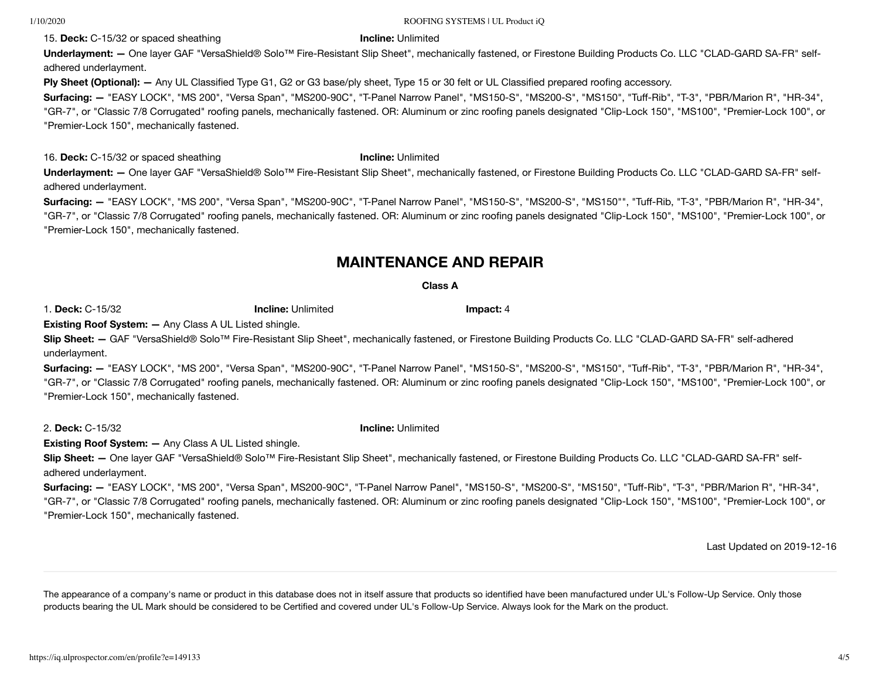15. **Deck:** C-15/32 or spaced sheathing **Incline:** Unlimited

### 1/10/2020 ROOFING SYSTEMS | UL Product iQ

**Underlayment: —** One layer GAF "VersaShield® Solo™ Fire-Resistant Slip Sheet", mechanically fastened, or Firestone Building Products Co. LLC "CLAD-GARD SA-FR" selfadhered underlayment.

**Ply Sheet (Optional): —** Any UL Classified Type G1, G2 or G3 base/ply sheet, Type 15 or 30 felt or UL Classified prepared roofing accessory.

**Surfacing: —** "EASY LOCK", "MS 200", "Versa Span", "MS200-90C", "T-Panel Narrow Panel", "MS150-S", "MS200-S", "MS150", "Tuff-Rib", "T-3", "PBR/Marion R", "HR-34", "GR-7", or "Classic 7/8 Corrugated" roofing panels, mechanically fastened. OR: Aluminum or zinc roofing panels designated "Clip-Lock 150", "MS100", "Premier-Lock 100", or "Premier-Lock 150", mechanically fastened.

16. **Deck:** C-15/32 or spaced sheathing **Incline:** Unlimited

**Underlayment: —** One layer GAF "VersaShield® Solo™ Fire-Resistant Slip Sheet", mechanically fastened, or Firestone Building Products Co. LLC "CLAD-GARD SA-FR" selfadhered underlayment.

**Surfacing: —** "EASY LOCK", "MS 200", "Versa Span", "MS200-90C", "T-Panel Narrow Panel", "MS150-S", "MS200-S", "MS150"", "Tuff-Rib, "T-3", "PBR/Marion R", "HR-34", "GR-7", or "Classic 7/8 Corrugated" roofing panels, mechanically fastened. OR: Aluminum or zinc roofing panels designated "Clip-Lock 150", "MS100", "Premier-Lock 100", or "Premier-Lock 150", mechanically fastened.

## **MAINTENANCE AND REPAIR**

## **Class A**

1. **Deck:** C-15/32 **Incline:** Unlimited **Impact:** 4

**Existing Roof System: —** Any Class A UL Listed shingle.

**Slip Sheet: —** GAF "VersaShield® Solo™ Fire-Resistant Slip Sheet", mechanically fastened, or Firestone Building Products Co. LLC "CLAD-GARD SA-FR" self-adhered underlayment.

**Surfacing: —** "EASY LOCK", "MS 200", "Versa Span", "MS200-90C", "T-Panel Narrow Panel", "MS150-S", "MS200-S", "MS150", "Tuff-Rib", "T-3", "PBR/Marion R", "HR-34", "GR-7", or "Classic 7/8 Corrugated" roofing panels, mechanically fastened. OR: Aluminum or zinc roofing panels designated "Clip-Lock 150", "MS100", "Premier-Lock 100", or "Premier-Lock 150", mechanically fastened.

2. **Deck:** C-15/32 **Incline:** Unlimited

**Existing Roof System: —** Any Class A UL Listed shingle.

**Slip Sheet: —** One layer GAF "VersaShield® Solo™ Fire-Resistant Slip Sheet", mechanically fastened, or Firestone Building Products Co. LLC "CLAD-GARD SA-FR" selfadhered underlayment.

**Surfacing: —** "EASY LOCK", "MS 200", "Versa Span", MS200-90C", "T-Panel Narrow Panel", "MS150-S", "MS200-S", "MS150", "Tuff-Rib", "T-3", "PBR/Marion R", "HR-34", "GR-7", or "Classic 7/8 Corrugated" roofing panels, mechanically fastened. OR: Aluminum or zinc roofing panels designated "Clip-Lock 150", "MS100", "Premier-Lock 100", or "Premier-Lock 150", mechanically fastened.

Last [Updated](javascript:openit() on 2019-12-16

The appearance of a company's name or product in this database does not in itself assure that products so identified have been manufactured under UL's Follow-Up Service. Only those products bearing the UL Mark should be considered to be Certified and covered under UL's Follow-Up Service. Always look for the Mark on the product.